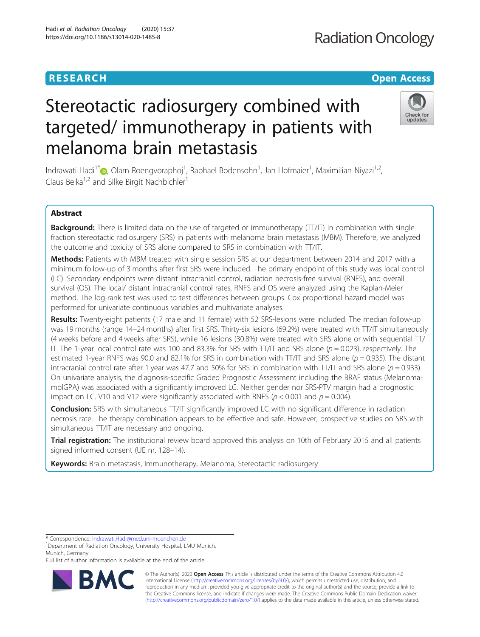melanoma brain metastasis

# **RESEARCH CHE Open Access**

# Check for undates

Indrawati Hadi<sup>1[\\*](http://orcid.org/0000-0003-2931-1761)</sup>�, Olarn Roengvoraphoj<sup>1</sup>, Raphael Bodensohn<sup>1</sup>, Jan Hofmaier<sup>1</sup>, Maximilian Niyazi<sup>1,2</sup>, Claus Belka<sup>1,2</sup> and Silke Birgit Nachbichler<sup>1</sup>

Stereotactic radiosurgery combined with

targeted/ immunotherapy in patients with

## Abstract

Background: There is limited data on the use of targeted or immunotherapy (TT/IT) in combination with single fraction stereotactic radiosurgery (SRS) in patients with melanoma brain metastasis (MBM). Therefore, we analyzed the outcome and toxicity of SRS alone compared to SRS in combination with TT/IT.

Methods: Patients with MBM treated with single session SRS at our department between 2014 and 2017 with a minimum follow-up of 3 months after first SRS were included. The primary endpoint of this study was local control (LC). Secondary endpoints were distant intracranial control, radiation necrosis-free survival (RNFS), and overall survival (OS). The local/ distant intracranial control rates, RNFS and OS were analyzed using the Kaplan-Meier method. The log-rank test was used to test differences between groups. Cox proportional hazard model was performed for univariate continuous variables and multivariate analyses.

Results: Twenty-eight patients (17 male and 11 female) with 52 SRS-lesions were included. The median follow-up was 19 months (range 14–24 months) after first SRS. Thirty-six lesions (69.2%) were treated with TT/IT simultaneously (4 weeks before and 4 weeks after SRS), while 16 lesions (30.8%) were treated with SRS alone or with sequential TT/ IT. The 1-year local control rate was 100 and 83.3% for SRS with TT/IT and SRS alone ( $p = 0.023$ ), respectively. The estimated 1-year RNFS was 90.0 and 82.1% for SRS in combination with  $TT/IT$  and SRS alone ( $p = 0.935$ ). The distant intracranial control rate after 1 year was 47.7 and 50% for SRS in combination with TT/IT and SRS alone ( $p = 0.933$ ). On univariate analysis, the diagnosis-specific Graded Prognostic Assessment including the BRAF status (MelanomamolGPA) was associated with a significantly improved LC. Neither gender nor SRS-PTV margin had a prognostic impact on LC. V10 and V12 were significantly associated with RNFS ( $p < 0.001$  and  $p = 0.004$ ).

**Conclusion:** SRS with simultaneous TT/IT significantly improved LC with no significant difference in radiation necrosis rate. The therapy combination appears to be effective and safe. However, prospective studies on SRS with simultaneous TT/IT are necessary and ongoing.

Trial registration: The institutional review board approved this analysis on 10th of February 2015 and all patients signed informed consent (UE nr. 128–14).

Keywords: Brain metastasis, Immunotherapy, Melanoma, Stereotactic radiosurgery

<sup>1</sup>Department of Radiation Oncology, University Hospital, LMU Munich, Munich, Germany

Full list of author information is available at the end of the article



© The Author(s). 2020 **Open Access** This article is distributed under the terms of the Creative Commons Attribution 4.0 International License [\(http://creativecommons.org/licenses/by/4.0/](http://creativecommons.org/licenses/by/4.0/)), which permits unrestricted use, distribution, and reproduction in any medium, provided you give appropriate credit to the original author(s) and the source, provide a link to the Creative Commons license, and indicate if changes were made. The Creative Commons Public Domain Dedication waiver [\(http://creativecommons.org/publicdomain/zero/1.0/](http://creativecommons.org/publicdomain/zero/1.0/)) applies to the data made available in this article, unless otherwise stated.

<sup>\*</sup> Correspondence: [Indrawati.Hadi@med.uni-muenchen.de](mailto:Indrawati.Hadi@med.uni-muenchen.de) <sup>1</sup>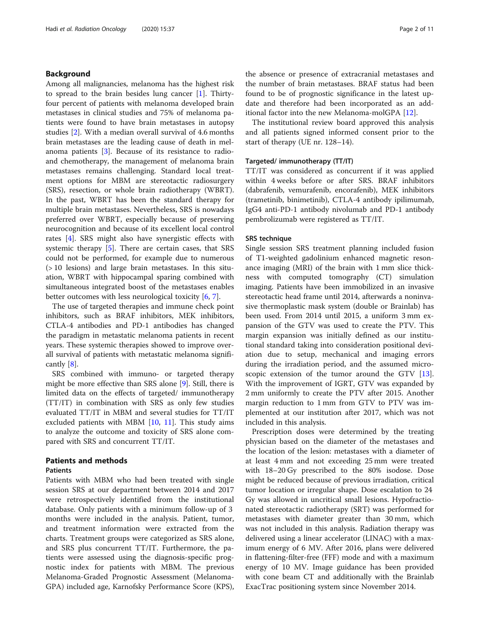#### Background

Among all malignancies, melanoma has the highest risk to spread to the brain besides lung cancer [[1\]](#page-9-0). Thirtyfour percent of patients with melanoma developed brain metastases in clinical studies and 75% of melanoma patients were found to have brain metastases in autopsy studies [\[2](#page-9-0)]. With a median overall survival of 4.6 months brain metastases are the leading cause of death in melanoma patients [[3\]](#page-9-0). Because of its resistance to radioand chemotherapy, the management of melanoma brain metastases remains challenging. Standard local treatment options for MBM are stereotactic radiosurgery (SRS), resection, or whole brain radiotherapy (WBRT). In the past, WBRT has been the standard therapy for multiple brain metastases. Nevertheless, SRS is nowadays preferred over WBRT, especially because of preserving neurocognition and because of its excellent local control rates [\[4](#page-9-0)]. SRS might also have synergistic effects with systemic therapy [[5\]](#page-9-0). There are certain cases, that SRS could not be performed, for example due to numerous (> 10 lesions) and large brain metastases. In this situation, WBRT with hippocampal sparing combined with simultaneous integrated boost of the metastases enables better outcomes with less neurological toxicity [[6,](#page-10-0) [7\]](#page-10-0).

The use of targeted therapies and immune check point inhibitors, such as BRAF inhibitors, MEK inhibitors, CTLA-4 antibodies and PD-1 antibodies has changed the paradigm in metastatic melanoma patients in recent years. These systemic therapies showed to improve overall survival of patients with metastatic melanoma significantly [\[8](#page-10-0)].

SRS combined with immuno- or targeted therapy might be more effective than SRS alone [[9\]](#page-10-0). Still, there is limited data on the effects of targeted/ immunotherapy (TT/IT) in combination with SRS as only few studies evaluated TT/IT in MBM and several studies for TT/IT excluded patients with MBM  $[10, 11]$  $[10, 11]$  $[10, 11]$  $[10, 11]$ . This study aims to analyze the outcome and toxicity of SRS alone compared with SRS and concurrent TT/IT.

#### Patients and methods

#### **Patients**

Patients with MBM who had been treated with single session SRS at our department between 2014 and 2017 were retrospectively identified from the institutional database. Only patients with a minimum follow-up of 3 months were included in the analysis. Patient, tumor, and treatment information were extracted from the charts. Treatment groups were categorized as SRS alone, and SRS plus concurrent TT/IT. Furthermore, the patients were assessed using the diagnosis-specific prognostic index for patients with MBM. The previous Melanoma-Graded Prognostic Assessment (Melanoma-GPA) included age, Karnofsky Performance Score (KPS),

the absence or presence of extracranial metastases and the number of brain metastases. BRAF status had been found to be of prognostic significance in the latest update and therefore had been incorporated as an additional factor into the new Melanoma-molGPA [\[12](#page-10-0)].

The institutional review board approved this analysis and all patients signed informed consent prior to the start of therapy (UE nr. 128–14).

#### Targeted/ immunotherapy (TT/IT)

TT/IT was considered as concurrent if it was applied within 4 weeks before or after SRS. BRAF inhibitors (dabrafenib, vemurafenib, encorafenib), MEK inhibitors (trametinib, binimetinib), CTLA-4 antibody ipilimumab, IgG4 anti-PD-1 antibody nivolumab and PD-1 antibody pembrolizumab were registered as TT/IT.

#### SRS technique

Single session SRS treatment planning included fusion of T1-weighted gadolinium enhanced magnetic resonance imaging (MRI) of the brain with 1 mm slice thickness with computed tomography (CT) simulation imaging. Patients have been immobilized in an invasive stereotactic head frame until 2014, afterwards a noninvasive thermoplastic mask system (double or Brainlab) has been used. From 2014 until 2015, a uniform 3 mm expansion of the GTV was used to create the PTV. This margin expansion was initially defined as our institutional standard taking into consideration positional deviation due to setup, mechanical and imaging errors during the irradiation period, and the assumed micro-scopic extension of the tumor around the GTV [\[13](#page-10-0)]. With the improvement of IGRT, GTV was expanded by 2 mm uniformly to create the PTV after 2015. Another margin reduction to 1 mm from GTV to PTV was implemented at our institution after 2017, which was not included in this analysis.

Prescription doses were determined by the treating physician based on the diameter of the metastases and the location of the lesion: metastases with a diameter of at least 4 mm and not exceeding 25 mm were treated with 18–20 Gy prescribed to the 80% isodose. Dose might be reduced because of previous irradiation, critical tumor location or irregular shape. Dose escalation to 24 Gy was allowed in uncritical small lesions. Hypofractionated stereotactic radiotherapy (SRT) was performed for metastases with diameter greater than 30 mm, which was not included in this analysis. Radiation therapy was delivered using a linear accelerator (LINAC) with a maximum energy of 6 MV. After 2016, plans were delivered in flattening-filter-free (FFF) mode and with a maximum energy of 10 MV. Image guidance has been provided with cone beam CT and additionally with the Brainlab ExacTrac positioning system since November 2014.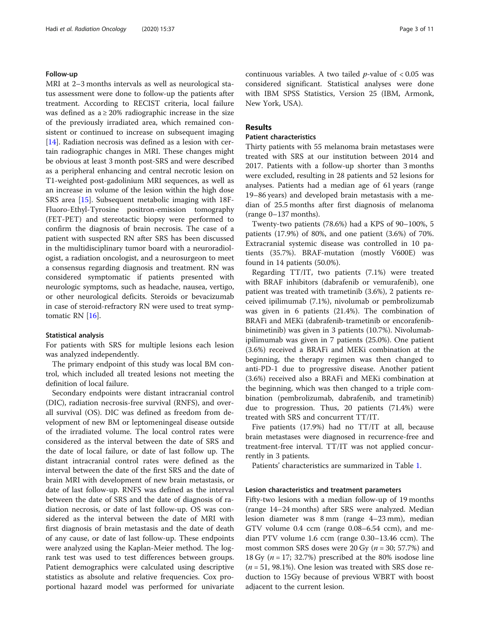#### Follow-up

MRI at 2–3 months intervals as well as neurological status assessment were done to follow-up the patients after treatment. According to RECIST criteria, local failure was defined as  $a \ge 20\%$  radiographic increase in the size of the previously irradiated area, which remained consistent or continued to increase on subsequent imaging [[14\]](#page-10-0). Radiation necrosis was defined as a lesion with certain radiographic changes in MRI. These changes might be obvious at least 3 month post-SRS and were described as a peripheral enhancing and central necrotic lesion on T1-weighted post-gadolinium MRI sequences, as well as an increase in volume of the lesion within the high dose SRS area [\[15](#page-10-0)]. Subsequent metabolic imaging with 18F-Fluoro-Ethyl-Tyrosine positron-emission tomography (FET-PET) and stereotactic biopsy were performed to confirm the diagnosis of brain necrosis. The case of a patient with suspected RN after SRS has been discussed in the multidisciplinary tumor board with a neuroradiologist, a radiation oncologist, and a neurosurgeon to meet a consensus regarding diagnosis and treatment. RN was considered symptomatic if patients presented with neurologic symptoms, such as headache, nausea, vertigo, or other neurological deficits. Steroids or bevacizumab in case of steroid-refractory RN were used to treat symptomatic RN [\[16](#page-10-0)].

#### Statistical analysis

For patients with SRS for multiple lesions each lesion was analyzed independently.

The primary endpoint of this study was local BM control, which included all treated lesions not meeting the definition of local failure.

Secondary endpoints were distant intracranial control (DIC), radiation necrosis-free survival (RNFS), and overall survival (OS). DIC was defined as freedom from development of new BM or leptomeningeal disease outside of the irradiated volume. The local control rates were considered as the interval between the date of SRS and the date of local failure, or date of last follow up. The distant intracranial control rates were defined as the interval between the date of the first SRS and the date of brain MRI with development of new brain metastasis, or date of last follow-up. RNFS was defined as the interval between the date of SRS and the date of diagnosis of radiation necrosis, or date of last follow-up. OS was considered as the interval between the date of MRI with first diagnosis of brain metastasis and the date of death of any cause, or date of last follow-up. These endpoints were analyzed using the Kaplan-Meier method. The logrank test was used to test differences between groups. Patient demographics were calculated using descriptive statistics as absolute and relative frequencies. Cox proportional hazard model was performed for univariate continuous variables. A two tailed  $p$ -value of < 0.05 was considered significant. Statistical analyses were done with IBM SPSS Statistics, Version 25 (IBM, Armonk, New York, USA).

#### Results

#### Patient characteristics

Thirty patients with 55 melanoma brain metastases were treated with SRS at our institution between 2014 and 2017. Patients with a follow-up shorter than 3 months were excluded, resulting in 28 patients and 52 lesions for analyses. Patients had a median age of 61 years (range 19–86 years) and developed brain metastasis with a median of 25.5 months after first diagnosis of melanoma (range 0–137 months).

Twenty-two patients (78.6%) had a KPS of 90–100%, 5 patients (17.9%) of 80%, and one patient (3.6%) of 70%. Extracranial systemic disease was controlled in 10 patients (35.7%). BRAF-mutation (mostly V600E) was found in 14 patients (50.0%).

Regarding TT/IT, two patients (7.1%) were treated with BRAF inhibitors (dabrafenib or vemurafenib), one patient was treated with trametinib (3.6%), 2 patients received ipilimumab (7.1%), nivolumab or pembrolizumab was given in 6 patients (21.4%). The combination of BRAFi and MEKi (dabrafenib-trametinib or encorafenibbinimetinib) was given in 3 patients (10.7%). Nivolumabipilimumab was given in 7 patients (25.0%). One patient (3.6%) received a BRAFi and MEKi combination at the beginning, the therapy regimen was then changed to anti-PD-1 due to progressive disease. Another patient (3.6%) received also a BRAFi and MEKi combination at the beginning, which was then changed to a triple combination (pembrolizumab, dabrafenib, and trametinib) due to progression. Thus, 20 patients (71.4%) were treated with SRS and concurrent TT/IT.

Five patients (17.9%) had no TT/IT at all, because brain metastases were diagnosed in recurrence-free and treatment-free interval. TT/IT was not applied concurrently in 3 patients.

Patients' characteristics are summarized in Table [1](#page-3-0).

#### Lesion characteristics and treatment parameters

Fifty-two lesions with a median follow-up of 19 months (range 14–24 months) after SRS were analyzed. Median lesion diameter was 8 mm (range 4–23 mm), median GTV volume 0.4 ccm (range 0.08–6.54 ccm), and median PTV volume 1.6 ccm (range 0.30–13.46 ccm). The most common SRS doses were 20 Gy ( $n = 30$ ; 57.7%) and 18 Gy ( $n = 17$ ; 32.7%) prescribed at the 80% isodose line  $(n = 51, 98.1\%)$ . One lesion was treated with SRS dose reduction to 15Gy because of previous WBRT with boost adjacent to the current lesion.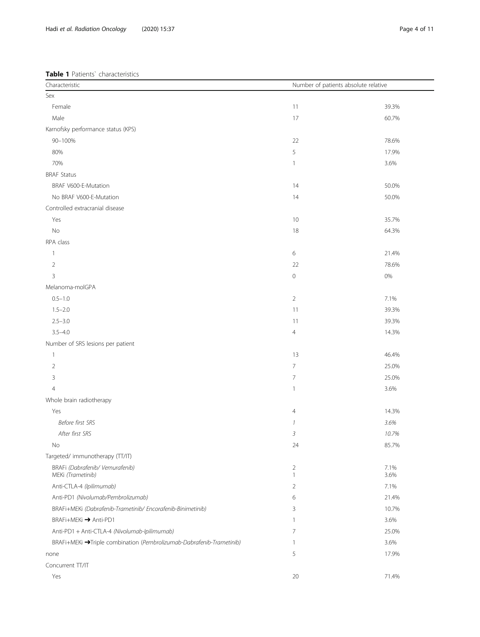<span id="page-3-0"></span>Table 1 Patients' characteristics

| Characteristic                                                       | Number of patients absolute relative |              |
|----------------------------------------------------------------------|--------------------------------------|--------------|
| Sex                                                                  |                                      |              |
| Female                                                               | 11                                   | 39.3%        |
| Male                                                                 | 17                                   | 60.7%        |
| Karnofsky performance status (KPS)                                   |                                      |              |
| 90-100%                                                              | 22                                   | 78.6%        |
| 80%                                                                  | 5                                    | 17.9%        |
| 70%                                                                  | 1                                    | 3.6%         |
| <b>BRAF Status</b>                                                   |                                      |              |
| BRAF V600-E-Mutation                                                 | 14                                   | 50.0%        |
| No BRAF V600-E-Mutation                                              | 14                                   | 50.0%        |
| Controlled extracranial disease                                      |                                      |              |
| Yes                                                                  | 10                                   | 35.7%        |
| $\rm No$                                                             | 18                                   | 64.3%        |
| RPA class                                                            |                                      |              |
| $\mathbf{1}$                                                         | 6                                    | 21.4%        |
| $\overline{2}$                                                       | 22                                   | 78.6%        |
| 3                                                                    | $\mathsf{O}\xspace$                  | $0\%$        |
| Melanoma-molGPA                                                      |                                      |              |
| $0.5 - 1.0$                                                          | $\overline{2}$                       | 7.1%         |
| $1.5 - 2.0$                                                          | 11                                   | 39.3%        |
| $2.5 - 3.0$                                                          | 11                                   | 39.3%        |
| $3.5 - 4.0$                                                          | 4                                    | 14.3%        |
| Number of SRS lesions per patient                                    |                                      |              |
| $\mathbf{1}$                                                         | 13                                   | 46.4%        |
| $\overline{2}$                                                       | 7                                    | 25.0%        |
| 3                                                                    | $\overline{7}$                       | 25.0%        |
| $\overline{4}$                                                       | 1                                    | 3.6%         |
| Whole brain radiotherapy                                             |                                      |              |
| Yes                                                                  | $\overline{4}$                       | 14.3%        |
| Before first SRS                                                     | $\mathcal{I}$                        | 3.6%         |
| After first SRS                                                      | 3                                    | 10.7%        |
| No                                                                   | 24                                   | 85.7%        |
| Targeted/immunotherapy (TT/IT)                                       |                                      |              |
| BRAFi (Dabrafenib/ Vemurafenib)<br>MEKi (Trametinib)                 | $\overline{2}$<br>1                  | 7.1%<br>3.6% |
| Anti-CTLA-4 (Ipilimumab)                                             | $\overline{2}$                       | 7.1%         |
| Anti-PD1 (Nivolumab/Pembrolizumab)                                   | 6                                    | 21.4%        |
| BRAFi+MEKi (Dabrafenib-Trametinib/ Encorafenib-Binimetinib)          | 3                                    | 10.7%        |
| BRAFi+MEKi → Anti-PD1                                                | $\mathbf{1}$                         | 3.6%         |
| Anti-PD1 + Anti-CTLA-4 (Nivolumab-Ipilimumab)                        | $\overline{7}$                       | 25.0%        |
| BRAFi+MEKi →Triple combination (Pembrolizumab-Dabrafenib-Trametinib) | $\mathbf{1}$                         | 3.6%         |
| none                                                                 | 5                                    | 17.9%        |
| Concurrent TT/IT                                                     |                                      |              |
| Yes                                                                  | 20                                   | 71.4%        |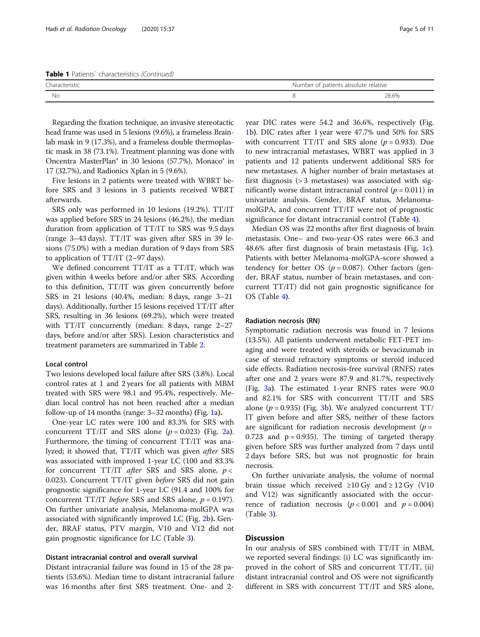Table 1 Patients' characteristics (Continued)

| $\sim$      | t patients absolute relative |       |
|-------------|------------------------------|-------|
| -haracteris | Number                       |       |
| .           | ot :                         |       |
| No          |                              | 28.6% |

Regarding the fixation technique, an invasive stereotactic head frame was used in 5 lesions (9.6%), a frameless Brainlab mask in 9 (17.3%), and a frameless double thermoplastic mask in 38 (73.1%). Treatment planning was done with Oncentra MasterPlan® in 30 lesions (57.7%), Monaco® in 17 (32.7%), and Radionics Xplan in 5 (9.6%).

Five lesions in 2 patients were treated with WBRT before SRS and 3 lesions in 3 patients received WBRT afterwards.

SRS only was performed in 10 lesions (19.2%). TT/IT was applied before SRS in 24 lesions (46.2%), the median duration from application of TT/IT to SRS was 9.5 days (range 3–43 days). TT/IT was given after SRS in 39 lesions (75.0%) with a median duration of 9 days from SRS to application of TT/IT (2–97 days).

We defined concurrent TT/IT as a TT/IT, which was given within 4 weeks before and/or after SRS. According to this definition, TT/IT was given concurrently before SRS in 21 lesions (40.4%, median: 8 days, range 3–21 days). Additionally, further 15 lesions received TT/IT after SRS, resulting in 36 lesions (69.2%), which were treated with TT/IT concurrently (median: 8 days, range 2–27 days, before and/or after SRS). Lesion characteristics and treatment parameters are summarized in Table [2.](#page-5-0)

#### Local control

Two lesions developed local failure after SRS (3.8%). Local control rates at 1 and 2 years for all patients with MBM treated with SRS were 98.1 and 95.4%, respectively. Median local control has not been reached after a median follow-up of 14 months (range: 3–32 months) (Fig. [1a](#page-6-0)).

One-year LC rates were 100 and 83.3% for SRS with concurrent TT/IT and SRS alone  $(p = 0.023)$  (Fig. [2a](#page-7-0)). Furthermore, the timing of concurrent TT/IT was analyzed; it showed that, TT/IT which was given after SRS was associated with improved 1-year LC (100 and 83.3% for concurrent TT/IT *after* SRS and SRS alone,  $p <$ 0.023). Concurrent TT/IT given before SRS did not gain prognostic significance for 1-year LC (91.4 and 100% for concurrent TT/IT before SRS and SRS alone,  $p = 0.197$ ). On further univariate analysis, Melanoma-molGPA was associated with significantly improved LC (Fig. [2](#page-7-0)b). Gender, BRAF status, PTV margin, V10 and V12 did not gain prognostic significance for LC (Table [3](#page-7-0)).

#### Distant intracranial control and overall survival

Distant intracranial failure was found in 15 of the 28 patients (53.6%). Median time to distant intracranial failure was 16 months after first SRS treatment. One- and 2-

year DIC rates were 54.2 and 36.6%, respectively (Fig. [1b](#page-6-0)). DIC rates after 1 year were 47.7% und 50% for SRS with concurrent TT/IT and SRS alone ( $p = 0.933$ ). Due to new intracranial metastases, WBRT was applied in 3 patients and 12 patients underwent additional SRS for new metastases. A higher number of brain metastases at first diagnosis (> 3 metastases) was associated with significantly worse distant intracranial control ( $p = 0.011$ ) in univariate analysis. Gender, BRAF status, MelanomamolGPA, and concurrent TT/IT were not of prognostic significance for distant intracranial control (Table [4](#page-8-0)).

Median OS was 22 months after first diagnosis of brain metastasis. One– and two-year-OS rates were 66.3 and 48.6% after first diagnosis of brain metastasis (Fig. [1c](#page-6-0)). Patients with better Melanoma-molGPA-score showed a tendency for better OS ( $p = 0.087$ ). Other factors (gender, BRAF status, number of brain metastases, and concurrent TT/IT) did not gain prognostic significance for OS (Table [4](#page-8-0)).

#### Radiation necrosis (RN)

Symptomatic radiation necrosis was found in 7 lesions (13.5%). All patients underwent metabolic FET-PET imaging and were treated with steroids or bevacizumab in case of steroid refractory symptoms or steroid induced side effects. Radiation necrosis-free survival (RNFS) rates after one and 2 years were 87.9 and 81.7%, respectively (Fig. [3a](#page-8-0)). The estimated 1-year RNFS rates were 90.0 and 82.1% for SRS with concurrent TT/IT and SRS alone ( $p = 0.935$ ) (Fig. [3b](#page-8-0)). We analyzed concurrent TT/ IT given before and after SRS, neither of these factors are significant for radiation necrosis development ( $p =$ 0.723 and  $p = 0.935$ ). The timing of targeted therapy given before SRS was further analyzed from 7 days until 2 days before SRS, but was not prognostic for brain necrosis.

On further univariate analysis, the volume of normal brain tissue which received ≥10 Gy and ≥ 12 Gy (V10 and V12) was significantly associated with the occurrence of radiation necrosis ( $p < 0.001$  and  $p = 0.004$ ) (Table [3](#page-7-0)).

#### **Discussion**

In our analysis of SRS combined with TT/IT in MBM, we reported several findings: (i) LC was significantly improved in the cohort of SRS and concurrent TT/IT, (ii) distant intracranial control and OS were not significantly different in SRS with concurrent TT/IT and SRS alone,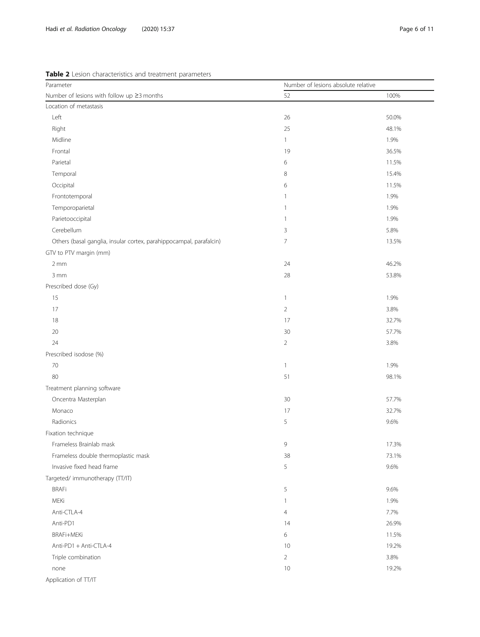<span id="page-5-0"></span>

| Parameter                                                           | Number of lesions absolute relative |       |  |
|---------------------------------------------------------------------|-------------------------------------|-------|--|
| Number of lesions with follow up $\geq$ 3 months                    | 52                                  | 100%  |  |
| Location of metastasis                                              |                                     |       |  |
| Left                                                                | 26                                  | 50.0% |  |
| Right                                                               | 25                                  | 48.1% |  |
| Midline                                                             | $\mathbf{1}$                        | 1.9%  |  |
| Frontal                                                             | 19                                  | 36.5% |  |
| Parietal                                                            | 6                                   | 11.5% |  |
| Temporal                                                            | 8                                   | 15.4% |  |
| Occipital                                                           | 6                                   | 11.5% |  |
| Frontotemporal                                                      | 1                                   | 1.9%  |  |
| Temporoparietal                                                     | $\mathbf{1}$                        | 1.9%  |  |
| Parietooccipital                                                    | 1                                   | 1.9%  |  |
| Cerebellum                                                          | 3                                   | 5.8%  |  |
| Others (basal ganglia, insular cortex, parahippocampal, parafalcin) | $\overline{\mathcal{I}}$            | 13.5% |  |
| GTV to PTV margin (mm)                                              |                                     |       |  |
| 2mm                                                                 | 24                                  | 46.2% |  |
| 3mm                                                                 | 28                                  | 53.8% |  |
| Prescribed dose (Gy)                                                |                                     |       |  |
| 15                                                                  | $\mathbf{1}$                        | 1.9%  |  |
| 17                                                                  | $\overline{2}$                      | 3.8%  |  |
| 18                                                                  | 17                                  | 32.7% |  |
| 20                                                                  | 30                                  | 57.7% |  |
| 24                                                                  | $\overline{2}$                      | 3.8%  |  |
| Prescribed isodose (%)                                              |                                     |       |  |
| 70                                                                  | $\mathbf{1}$                        | 1.9%  |  |
| 80                                                                  | 51                                  | 98.1% |  |
| Treatment planning software                                         |                                     |       |  |
| Oncentra Masterplan                                                 | 30                                  | 57.7% |  |
| Monaco                                                              | 17                                  | 32.7% |  |
| Radionics                                                           | 5                                   | 9.6%  |  |
| Fixation technique                                                  |                                     |       |  |
| Frameless Brainlab mask                                             | 9                                   | 17.3% |  |
| Frameless double thermoplastic mask                                 | 38                                  | 73.1% |  |
| Invasive fixed head frame                                           | 5                                   | 9.6%  |  |
| Targeted/immunotherapy (TT/IT)                                      |                                     |       |  |
| <b>BRAFi</b>                                                        | 5                                   | 9.6%  |  |
| MEKi                                                                | $\mathbf{1}$                        | 1.9%  |  |
| Anti-CTLA-4                                                         | $\overline{4}$                      | 7.7%  |  |
| Anti-PD1                                                            | 14                                  | 26.9% |  |
| BRAFi+MEKi                                                          | 6                                   | 11.5% |  |
| Anti-PD1 + Anti-CTLA-4                                              | 10                                  | 19.2% |  |
| Triple combination                                                  | $\overline{2}$                      | 3.8%  |  |
| none                                                                | 10                                  | 19.2% |  |
| Application of TT/IT                                                |                                     |       |  |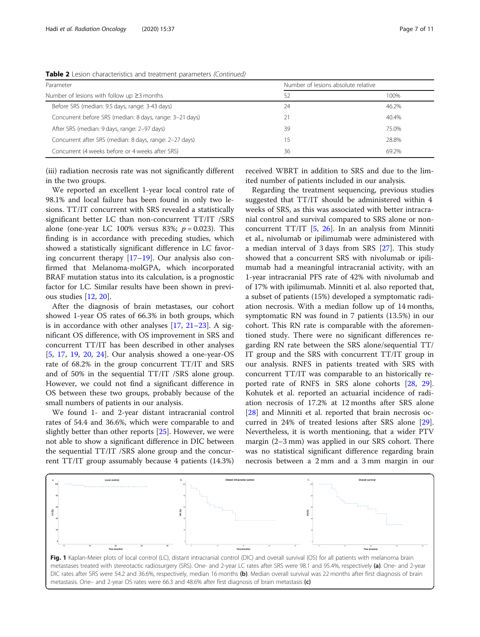| Parameter                                                | Number of lesions absolute relative |       |
|----------------------------------------------------------|-------------------------------------|-------|
| Number of lesions with follow up $\geq$ 3 months         | 52                                  | 100%  |
| Before SRS (median: 9.5 days, range: 3-43 days)          | 24                                  | 46.2% |
| Concurrent before SRS (median: 8 days, range: 3-21 days) | 21                                  | 40.4% |
| After SRS (median: 9 days, range: 2-97 days)             | 39                                  | 75.0% |
| Concurrent after SRS (median: 8 days, range: 2-27 days)  | 15                                  | 28.8% |
| Concurrent (4 weeks before or 4 weeks after SRS)         | 36                                  | 69.2% |

<span id="page-6-0"></span>**Table 2** Lesion characteristics and treatment parameters (Continued)

(iii) radiation necrosis rate was not significantly different in the two groups.

We reported an excellent 1-year local control rate of 98.1% and local failure has been found in only two lesions. TT/IT concurrent with SRS revealed a statistically significant better LC than non-concurrent TT/IT /SRS alone (one-year LC 100% versus 83%;  $p = 0.023$ ). This finding is in accordance with preceding studies, which showed a statistically significant difference in LC favoring concurrent therapy [[17](#page-10-0)–[19](#page-10-0)]. Our analysis also confirmed that Melanoma-molGPA, which incorporated BRAF mutation status into its calculation, is a prognostic factor for LC. Similar results have been shown in previous studies [\[12,](#page-10-0) [20\]](#page-10-0).

After the diagnosis of brain metastases, our cohort showed 1-year OS rates of 66.3% in both groups, which is in accordance with other analyses [[17,](#page-10-0) [21](#page-10-0)–[23](#page-10-0)]. A significant OS difference, with OS improvement in SRS and concurrent TT/IT has been described in other analyses [[5,](#page-9-0) [17,](#page-10-0) [19](#page-10-0), [20](#page-10-0), [24](#page-10-0)]. Our analysis showed a one-year-OS rate of 68.2% in the group concurrent TT/IT and SRS and of 50% in the sequential TT/IT /SRS alone group. However, we could not find a significant difference in OS between these two groups, probably because of the small numbers of patients in our analysis.

We found 1- and 2-year distant intracranial control rates of 54.4 and 36.6%, which were comparable to and slightly better than other reports [\[25\]](#page-10-0). However, we were not able to show a significant difference in DIC between the sequential TT/IT /SRS alone group and the concurrent TT/IT group assumably because 4 patients (14.3%)

received WBRT in addition to SRS and due to the limited number of patients included in our analysis.

Regarding the treatment sequencing, previous studies suggested that TT/IT should be administered within 4 weeks of SRS, as this was associated with better intracranial control and survival compared to SRS alone or nonconcurrent  $TT/IT$  [[5](#page-9-0), [26\]](#page-10-0). In an analysis from Minniti et al., nivolumab or ipilimumab were administered with a median interval of 3 days from SRS [\[27\]](#page-10-0). This study showed that a concurrent SRS with nivolumab or ipilimumab had a meaningful intracranial activity, with an 1-year intracranial PFS rate of 42% with nivolumab and of 17% with ipilimumab. Minniti et al. also reported that, a subset of patients (15%) developed a symptomatic radiation necrosis. With a median follow up of 14 months, symptomatic RN was found in 7 patients (13.5%) in our cohort. This RN rate is comparable with the aforementioned study. There were no significant differences regarding RN rate between the SRS alone/sequential TT/ IT group and the SRS with concurrent TT/IT group in our analysis. RNFS in patients treated with SRS with concurrent TT/IT was comparable to an historically reported rate of RNFS in SRS alone cohorts [[28](#page-10-0), [29](#page-10-0)]. Kohutek et al. reported an actuarial incidence of radiation necrosis of 17.2% at 12 months after SRS alone [[28\]](#page-10-0) and Minniti et al. reported that brain necrosis occurred in 24% of treated lesions after SRS alone [\[29](#page-10-0)]. Nevertheless, it is worth mentioning, that a wider PTV margin (2–3 mm) was applied in our SRS cohort. There was no statistical significant difference regarding brain necrosis between a 2 mm and a 3 mm margin in our

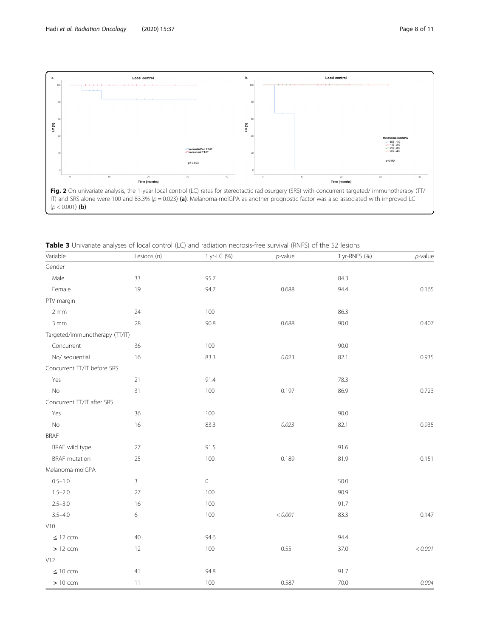<span id="page-7-0"></span>

IT) and SRS alone were 100 and 83.3% ( $p = 0.023$ ) (a). Melanoma-molGPA as another prognostic factor was also associated with improved LC  $(p < 0.001)$  (b)

Table 3 Univariate analyses of local control (LC) and radiation necrosis-free survival (RNFS) of the 52 lesions

| Variable                       | Lesions (n)  | 1 yr-LC (%)         | $p$ -value | 1 yr-RNFS (%) | $p$ -value |
|--------------------------------|--------------|---------------------|------------|---------------|------------|
| Gender                         |              |                     |            |               |            |
| Male                           | 33           | 95.7                |            | 84.3          |            |
| Female                         | 19           | 94.7                | 0.688      | 94.4          | 0.165      |
| PTV margin                     |              |                     |            |               |            |
| 2mm                            | 24           | 100                 |            | 86.3          |            |
| 3mm                            | 28           | 90.8                | 0.688      | 90.0          | 0.407      |
| Targeted/immunotherapy (TT/IT) |              |                     |            |               |            |
| Concurrent                     | 36           | 100                 |            | 90.0          |            |
| No/ sequential                 | 16           | 83.3                | 0.023      | 82.1          | 0.935      |
| Concurrent TT/IT before SRS    |              |                     |            |               |            |
| Yes                            | 21           | 91.4                |            | 78.3          |            |
| No                             | 31           | 100                 | 0.197      | 86.9          | 0.723      |
| Concurrent TT/IT after SRS     |              |                     |            |               |            |
| Yes                            | 36           | 100                 |            | 90.0          |            |
| No                             | 16           | 83.3                | 0.023      | 82.1          | 0.935      |
| <b>BRAF</b>                    |              |                     |            |               |            |
| BRAF wild type                 | 27           | 91.5                |            | 91.6          |            |
| <b>BRAF</b> mutation           | 25           | 100                 | 0.189      | 81.9          | 0.151      |
| Melanoma-molGPA                |              |                     |            |               |            |
| $0.5 - 1.0$                    | $\mathbf{3}$ | $\mathsf{O}\xspace$ |            | 50.0          |            |
| $1.5 - 2.0$                    | 27           | 100                 |            | 90.9          |            |
| $2.5 - 3.0$                    | 16           | 100                 |            | 91.7          |            |
| $3.5 - 4.0$                    | 6            | 100                 | < 0.001    | 83.3          | 0.147      |
| V10                            |              |                     |            |               |            |
| $\leq$ 12 ccm                  | 40           | 94.6                |            | 94.4          |            |
| $> 12$ ccm                     | 12           | 100                 | 0.55       | 37.0          | < 0.001    |
| V12                            |              |                     |            |               |            |
| $\leq$ 10 ccm                  | $41\,$       | 94.8                |            | 91.7          |            |
| $> 10$ ccm                     | 11           | 100                 | 0.587      | 70.0          | 0.004      |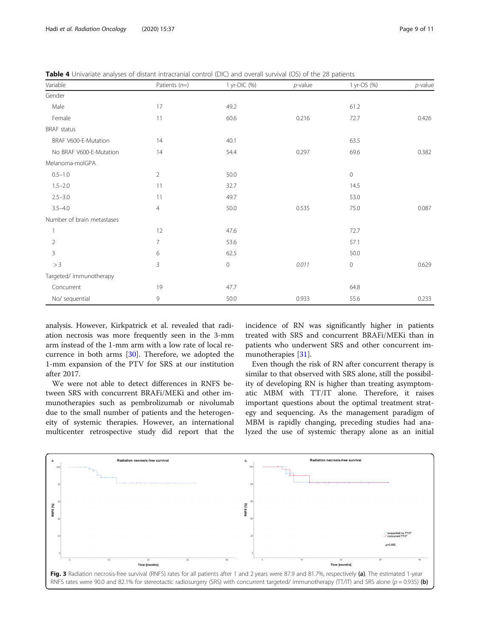<span id="page-8-0"></span>Table 4 Univariate analyses of distant intracranial control (DIC) and overall survival (OS) of the 28 patients

| Variable                   | Patients $(n=)$ | 1 yr-DIC (%)   | $p$ -value | 1 yr-OS (%) | $p$ -value |
|----------------------------|-----------------|----------------|------------|-------------|------------|
| Gender                     |                 |                |            |             |            |
| Male                       | 17              | 49.2           |            | 61.2        |            |
| Female                     | 11              | 60.6           | 0.216      | 72.7        | 0.426      |
| <b>BRAF</b> status         |                 |                |            |             |            |
| BRAF V600-E-Mutation       | 14              | 40.1           |            | 63.5        |            |
| No BRAF V600-E-Mutation    | 14              | 54.4           | 0.297      | 69.6        | 0.382      |
| Melanoma-molGPA            |                 |                |            |             |            |
| $0.5 - 1.0$                | 2               | 50.0           |            | 0           |            |
| $1.5 - 2.0$                | 11              | 32.7           |            | 14.5        |            |
| $2.5 - 3.0$                | 11              | 49.7           |            | 53.0        |            |
| $3.5 - 4.0$                | $\overline{4}$  | 50.0           | 0.535      | 75.0        | 0.087      |
| Number of brain metastases |                 |                |            |             |            |
|                            | 12              | 47.6           |            | 72.7        |            |
| $\overline{2}$             | $\overline{7}$  | 53.6           |            | 57.1        |            |
| 3                          | 6               | 62.5           |            | 50.0        |            |
| > 3                        | 3               | $\circledcirc$ | 0.011      | 0           | 0.629      |
| Targeted/immunotherapy     |                 |                |            |             |            |
| Concurrent                 | 19              | 47.7           |            | 64.8        |            |
| No/ sequential             | 9               | 50.0           | 0.933      | 55.6        | 0.233      |

analysis. However, Kirkpatrick et al. revealed that radiation necrosis was more frequently seen in the 3-mm arm instead of the 1-mm arm with a low rate of local recurrence in both arms [\[30\]](#page-10-0). Therefore, we adopted the 1-mm expansion of the PTV for SRS at our institution after 2017.

We were not able to detect differences in RNFS between SRS with concurrent BRAFi/MEKi and other immunotherapies such as pembrolizumab or nivolumab due to the small number of patients and the heterogeneity of systemic therapies. However, an international multicenter retrospective study did report that the incidence of RN was significantly higher in patients treated with SRS and concurrent BRAFi/MEKi than in patients who underwent SRS and other concurrent immunotherapies [[31\]](#page-10-0).

Even though the risk of RN after concurrent therapy is similar to that observed with SRS alone, still the possibility of developing RN is higher than treating asymptomatic MBM with TT/IT alone. Therefore, it raises important questions about the optimal treatment strategy and sequencing. As the management paradigm of MBM is rapidly changing, preceding studies had analyzed the use of systemic therapy alone as an initial

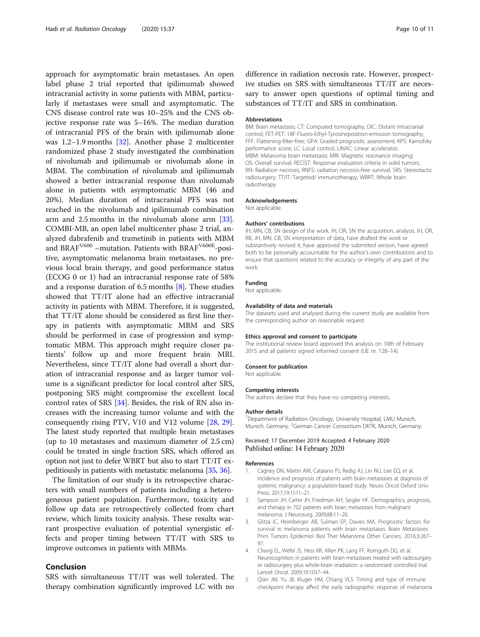<span id="page-9-0"></span>approach for asymptomatic brain metastases. An open label phase 2 trial reported that ipilimumab showed intracranial activity in some patients with MBM, particularly if metastases were small and asymptomatic. The CNS disease control rate was 10–25% and the CNS objective response rate was 5–16%. The median duration of intracranial PFS of the brain with ipilimumab alone was 1.2–1.9 months [\[32\]](#page-10-0). Another phase 2 multicenter randomized phase 2 study investigated the combination of nivolumab and ipilimumab or nivolumab alone in MBM. The combination of nivolumab and ipilimumab showed a better intracranial response than nivolumab alone in patients with asymptomatic MBM (46 and 20%). Median duration of intracranial PFS was not reached in the nivolumab and ipilimumab combination arm and 2.5 months in the nivolumab alone arm [\[33](#page-10-0)]. COMBI-MB, an open label multicenter phase 2 trial, analyzed dabrafenib and trametinib in patients with MBM and BRAFV600 –mutation. Patients with BRAFV600E-positive, asymptomatic melanoma brain metastases, no previous local brain therapy, and good performance status (ECOG 0 or 1) had an intracranial response rate of 58% and a response duration of 6.5 months [\[8](#page-10-0)]. These studies showed that TT/IT alone had an effective intracranial activity in patients with MBM. Therefore, it is suggested, that TT/IT alone should be considered as first line therapy in patients with asymptomatic MBM and SRS should be performed in case of progression and symptomatic MBM. This approach might require closer patients' follow up and more frequent brain MRI. Nevertheless, since TT/IT alone had overall a short duration of intracranial response and as larger tumor volume is a significant predictor for local control after SRS, postponing SRS might compromise the excellent local control rates of SRS [\[34\]](#page-10-0). Besides, the risk of RN also increases with the increasing tumor volume and with the consequently rising PTV, V10 and V12 volume [[28,](#page-10-0) [29](#page-10-0)]. The latest study reported that multiple brain metastases (up to 10 metastases and maximum diameter of 2.5 cm) could be treated in single fraction SRS, which offered an option not just to defer WBRT but also to start TT/IT expeditiously in patients with metastatic melanoma [\[35,](#page-10-0) [36](#page-10-0)].

The limitation of our study is its retrospective characters with small numbers of patients including a heterogeneous patient population. Furthermore, toxicity and follow up data are retrospectively collected from chart review, which limits toxicity analysis. These results warrant prospective evaluation of potential synergistic effects and proper timing between TT/IT with SRS to improve outcomes in patients with MBMs.

#### Conclusion

SRS with simultaneous TT/IT was well tolerated. The therapy combination significantly improved LC with no

difference in radiation necrosis rate. However, prospective studies on SRS with simultaneous TT/IT are necessary to answer open questions of optimal timing and substances of TT/IT and SRS in combination.

#### Abbreviations

BM: Brain metastasis; CT: Computed tomography; DIC: Distant intracranial control; FET-PET: 18F-Fluoro-Ethyl-Tyrosinepositron-emission tomography; FFF: Flattening-filter-free; GPA: Graded prognostic assessment; KPS: Karnofsky performance score; LC: Local control; LINAC: Linear accelerator; MBM: Melanoma brain metastasis; MRI: Magnetic resonance imaging; OS: Overall survival; RECIST: Response evaluation criteria in solid tumors; RN: Radiation necrosis; RNFS: radiation necrosis-free survival; SRS: Stereotactic radiosurgery; TT/IT: Targeted/ immunotherapy; WBRT: Whole brain radiotherapy

#### Acknowledgements

Not applicable.

#### Authors' contributions

IH, MN, CB, SN design of the work. IH, OR, SN the acquisition, analysis. IH, OR, RB, JH, MN, CB, SN interpretation of data, have drafted the work or substantively revised it, have approved the submitted version, have agreed both to be personally accountable for the author's own contributions and to ensure that questions related to the accuracy or integrity of any part of the work.

#### Funding

Not applicable.

#### Availability of data and materials

The datasets used and analysed during the current study are available from the corresponding author on reasonable request.

#### Ethics approval and consent to participate

The institutional review board approved this analysis on 10th of February 2015 and all patients signed informed consent (UE nr. 128–14).

#### Consent for publication

Not applicable.

#### Competing interests

The authors declare that they have no competing interests.

#### Author details

<sup>1</sup> Department of Radiation Oncology, University Hospital, LMU Munich Munich, Germany. <sup>2</sup>German Cancer Consortium DKTK, Munich, Germany.

#### Received: 17 December 2019 Accepted: 4 February 2020 Published online: 14 February 2020

#### References

- Cagney DN, Martin AM, Catalano PJ, Redig AJ, Lin NU, Lee EQ, et al. Incidence and prognosis of patients with brain metastases at diagnosis of systemic malignancy: a population-based study. Neuro Oncol Oxford Univ Press. 2017;19:1511–21.
- 2. Sampson JH, Carter JH, Friedman AH, Seigler HF. Demographics, prognosis, and therapy in 702 patients with brain metastases from malignant melanoma. J Neurosurg. 2009;88:11–20.
- Glitza IC, Heimberger AB, Sulman EP, Davies MA. Prognostic factors for survival in melanoma patients with brain metastases. Brain Metastases Prim Tumors Epidemiol Biol Ther Melanoma Other Cancers. 2016;3:267– 97.
- 4. Chang EL, Wefel JS, Hess KR, Allen PK, Lang FF, Kornguth DG, et al. Neurocognition in patients with brain metastases treated with radiosurgery or radiosurgery plus whole-brain irradiation: a randomised controlled trial. Lancet Oncol. 2009;10:1037–44.
- 5. Qian JM, Yu JB, Kluger HM, Chiang VLS. Timing and type of immune checkpoint therapy affect the early radiographic response of melanoma